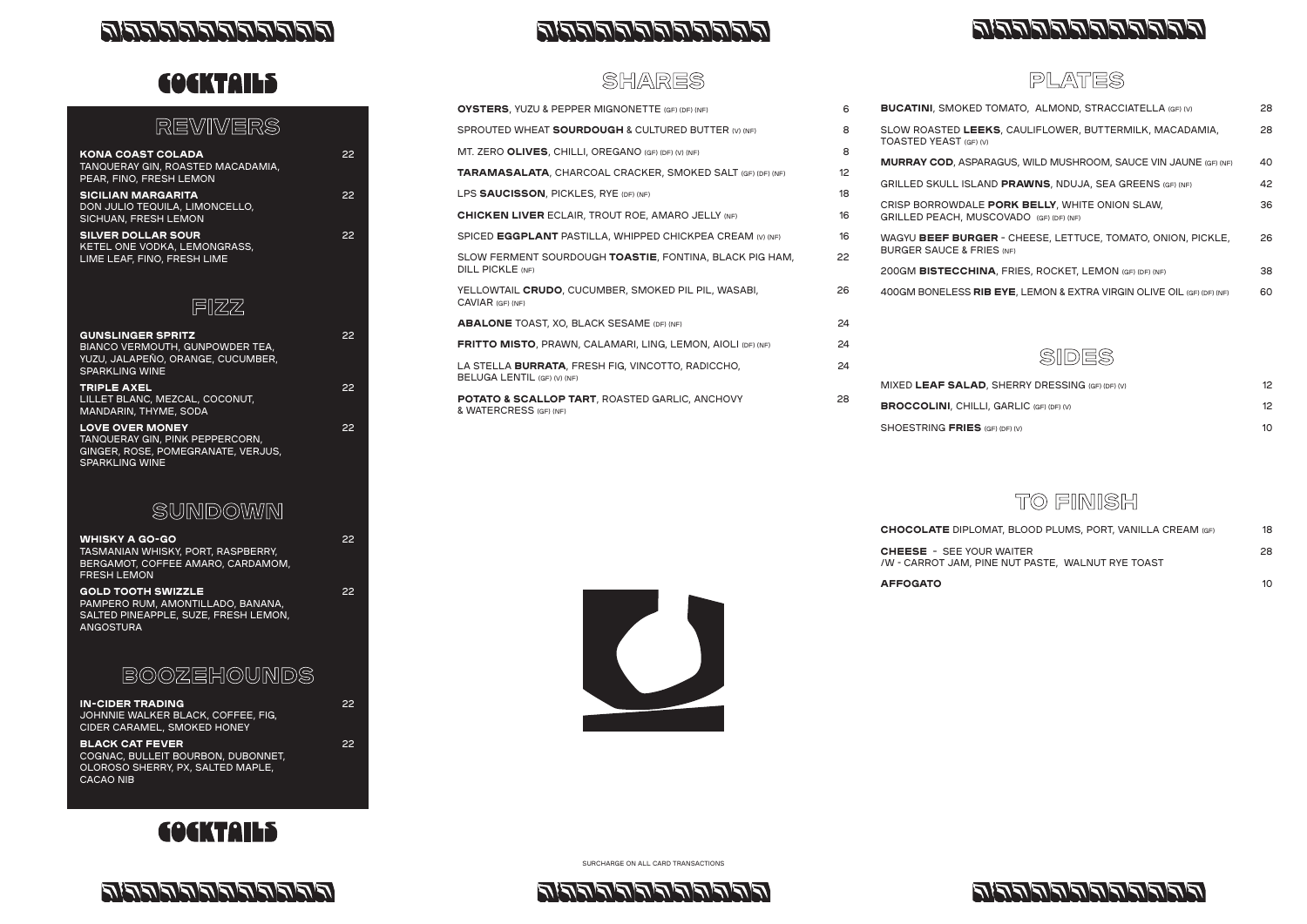

## لتحالفي لتعالفي لتعالفي لتعالفي لتعالفي للتعا

# **COCKTAILS**

#### PLATES



## TO FINISH





| 6  | <b>BUCATINI, SMOKED TOMATO, ALMOND, STRACCIATELLA (GF) (V)</b>        | 28                                                                                                                                                                                                                             |
|----|-----------------------------------------------------------------------|--------------------------------------------------------------------------------------------------------------------------------------------------------------------------------------------------------------------------------|
| 8  | SLOW ROASTED LEEKS, CAULIFLOWER, BUTTERMILK, MACADAMIA,               | 28                                                                                                                                                                                                                             |
| 8  |                                                                       |                                                                                                                                                                                                                                |
| 12 |                                                                       | 40                                                                                                                                                                                                                             |
| 18 |                                                                       | 42                                                                                                                                                                                                                             |
| 16 | GRILLED PEACH, MUSCOVADO (GF) (DF) (NF)                               | 36                                                                                                                                                                                                                             |
| 16 | WAGYU BEEF BURGER - CHEESE, LETTUCE, TOMATO, ONION, PICKLE,           | 26                                                                                                                                                                                                                             |
| 22 | <b>BURGER SAUCE &amp; FRIES (NF)</b>                                  |                                                                                                                                                                                                                                |
|    | 200GM BISTECCHINA, FRIES, ROCKET, LEMON (GF) (DF) (NF)                | 38                                                                                                                                                                                                                             |
| 26 | 400GM BONELESS RIB EYE, LEMON & EXTRA VIRGIN OLIVE OIL (GF) (DF) (NF) | 60                                                                                                                                                                                                                             |
| 24 |                                                                       |                                                                                                                                                                                                                                |
| 24 |                                                                       |                                                                                                                                                                                                                                |
| 24 |                                                                       |                                                                                                                                                                                                                                |
|    | MIXED LEAF SALAD, SHERRY DRESSING (GF) (DF) (V)                       | 12                                                                                                                                                                                                                             |
| 28 | <b>BROCCOLINI, CHILLI, GARLIC (GF) (DF) (V)</b>                       | 12                                                                                                                                                                                                                             |
|    | SHOESTRING FRIES (GF) (DF) (V)                                        | 10 <sup>°</sup>                                                                                                                                                                                                                |
|    |                                                                       | <b>TOASTED YEAST (GF) (V)</b><br><b>MURRAY COD, ASPARAGUS, WILD MUSHROOM, SAUCE VIN JAUNE (GF) (NF)</b><br>GRILLED SKULL ISLAND PRAWNS, NDUJA, SEA GREENS (GF) (NF)<br>CRISP BORROWDALE PORK BELLY, WHITE ONION SLAW,<br>SIDES |

| <b>AFFOGATO</b>                                                                      | 10 |
|--------------------------------------------------------------------------------------|----|
| <b>CHEESE</b> - SEE YOUR WAITER<br>/W - CARROT JAM, PINE NUT PASTE, WALNUT RYE TOAST | 28 |
| <b>CHOCOLATE</b> DIPLOMAT, BLOOD PLUMS, PORT, VANILLA CREAM (GF)                     | 18 |



#### SHARES

| <b>GUNSLINGER SPRITZ</b><br><b>BIANCO VERMOUTH, GUNPOWDER TEA,</b><br>YUZU, JALAPEÑO, ORANGE, CUCUMBER,<br><b>SPARKLING WINE</b>                                                                                                                                                                                                                                                                                                                    | 22 |
|-----------------------------------------------------------------------------------------------------------------------------------------------------------------------------------------------------------------------------------------------------------------------------------------------------------------------------------------------------------------------------------------------------------------------------------------------------|----|
| <b>TRIPLE AXEL</b><br>LILLET BLANC, MEZCAL, COCONUT,<br>MANDARIN, THYME, SODA                                                                                                                                                                                                                                                                                                                                                                       | 22 |
| <b>LOVE OVER MONEY</b><br>TANQUERAY GIN, PINK PEPPERCORN,<br>GINGER, ROSE, POMEGRANATE, VERJUS,<br><b>SPARKLING WINE</b>                                                                                                                                                                                                                                                                                                                            | 22 |
| SUNDOWMN                                                                                                                                                                                                                                                                                                                                                                                                                                            |    |
| <b>WHISKY A GO-GO</b><br>TASMANIAN WHISKY, PORT, RASPBERRY,<br>BERGAMOT, COFFEE AMARO, CARDAMOM,<br><b>FRESH LEMON</b>                                                                                                                                                                                                                                                                                                                              | 22 |
| <b>GOLD TOOTH SWIZZLE</b><br>$\mathbf{1} \mathbf{1} \mathbf{1} \mathbf{1} \mathbf{1} \mathbf{1} \mathbf{1} \mathbf{1} \mathbf{1} \mathbf{1} \mathbf{1} \mathbf{1} \mathbf{1} \mathbf{1} \mathbf{1} \mathbf{1} \mathbf{1} \mathbf{1} \mathbf{1} \mathbf{1} \mathbf{1} \mathbf{1} \mathbf{1} \mathbf{1} \mathbf{1} \mathbf{1} \mathbf{1} \mathbf{1} \mathbf{1} \mathbf{1} \mathbf{1} \mathbf{1} \mathbf{1} \mathbf{1} \mathbf{1} \mathbf{1} \mathbf{$ | 22 |

### REVIVERS

| <b>KONA COAST COLADA</b><br>TANQUERAY GIN, ROASTED MACADAMIA,<br>PEAR, FINO, FRESH LEMON | 22  |
|------------------------------------------------------------------------------------------|-----|
| <b>SICILIAN MARGARITA</b><br>DON JULIO TEQUILA, LIMONCELLO,<br>SICHUAN, FRESH LEMON      | 22  |
| <b>SILVER DOLLAR SOUR</b><br>KETEL ONE VODKA, LEMONGRASS,<br>LIME LEAF, FINO, FRESH LIME | 22. |



PAMPERO RUM, AMONTILLADO, BANANA, SALTED PINEAPPLE, SUZE, FRESH LEMON, ANGOSTURA

## BOOZEHOUNDS

| <b>IN-CIDER TRADING</b>            | 22  |
|------------------------------------|-----|
| JOHNNIE WALKER BLACK, COFFEE, FIG, |     |
| CIDER CARAMEL, SMOKED HONEY        |     |
| <b>BLACK CAT FEVER</b>             | 22. |
| COGNAC, BULLEIT BOURBON, DUBONNET, |     |
| OLOROSO SHERRY PX SALTED MAPLE     |     |









SURCHARGE ON ALL CARD TRANSACTIONS



## التع لتع لتع لتع لتع لتع لتع لتع لت لت لت لت لت